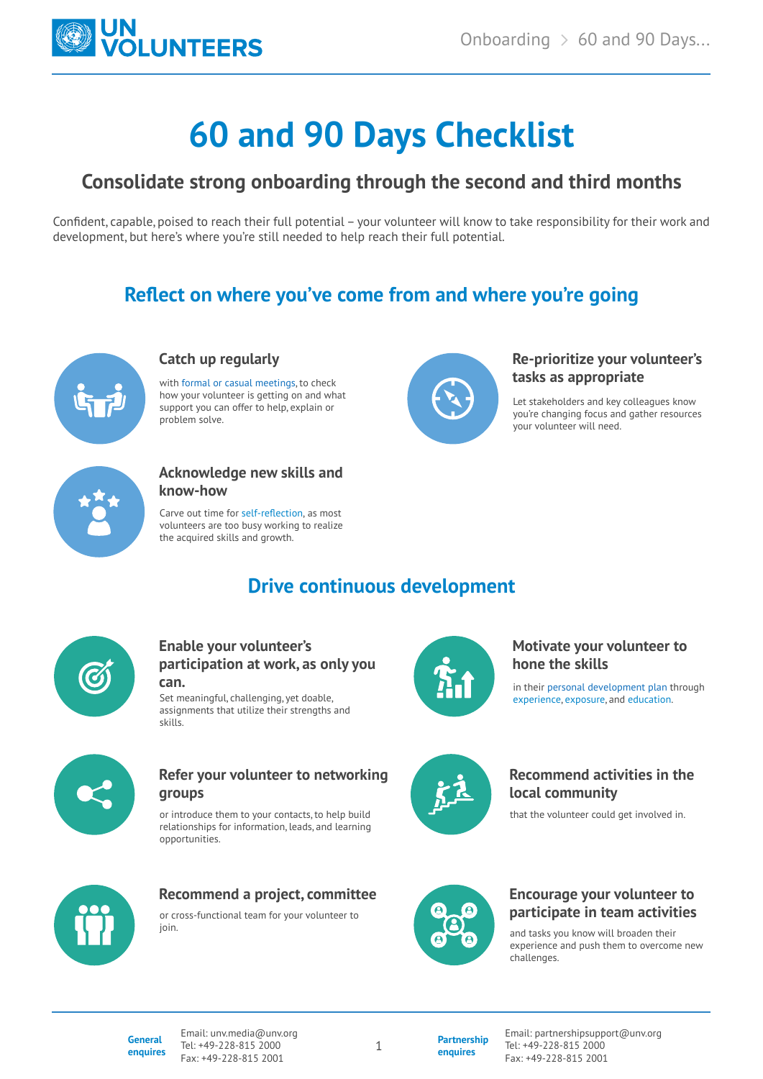

# **60 and 90 Days Checklist**

# **Consolidate strong onboarding through the second and third months**

Confident, capable, poised to reach their full potential – your volunteer will know to take responsibility for their work and development, but here's where you're still needed to help reach their full potential.

# **Reflect on where you've come from and where you're going**



#### **Catch up regularly**

with [formal or casual meetings,](https://toolkit.unv.org/managing/motivate-and-recognize-un-volunteers) to check how your volunteer is getting on and what support you can offer to help, explain or problem solve.



#### **Re-prioritize your volunteer's tasks as appropriate**

Let stakeholders and key colleagues know you're changing focus and gather resources your volunteer will need.



#### **Acknowledge new skills and know-how**

Carve out time for [self-reflection](https://toolkit.unv.org/sites/default/files/2020-10/UNV_Volunteer_Toolkit_Volunteer_Reflection.pdf), as most volunteers are too busy working to realize the acquired skills and growth.

# **Drive continuous development**



#### **Enable your volunteer's participation at work, as only you can.**

Set meaningful, challenging, yet doable, assignments that utilize their strengths and skills.



#### **Refer your volunteer to networking groups**

or introduce them to your contacts, to help build relationships for information, leads, and learning opportunities.



## in their [personal development plan](https://toolkit.unv.org/sites/default/files/2020-10/UN%20Volunteer%20Learning%20and%20Development%20Plan_29%20Oct%202020.pdf) through **hone the skills**

**Motivate your volunteer to** 

[experience,](https://toolkit.unv.org/sites/default/files/2020-10/Manage%20-%20Sub-Page%20Experiences%20copy.pdf) [exposure](https://toolkit.unv.org/sites/default/files/2020-10/Manage%20-%20Sub-Page%20Exposure%20copy.pdf), and [education](https://toolkit.unv.org/sites/default/files/2020-10/Manage%20-%20Sub-Page%20Education%20copy.pdf).



### **Recommend activities in the local community**

that the volunteer could get involved in.



## **Recommend a project, committee**

or cross-functional team for your volunteer to join.



## **Encourage your volunteer to participate in team activities**

and tasks you know will broaden their experience and push them to overcome new challenges.

**General enquires** Email: unv.media@unv.org Tel: +49-228-815 2000 Fax: +49-228-815 2001

**Partnership enquires**